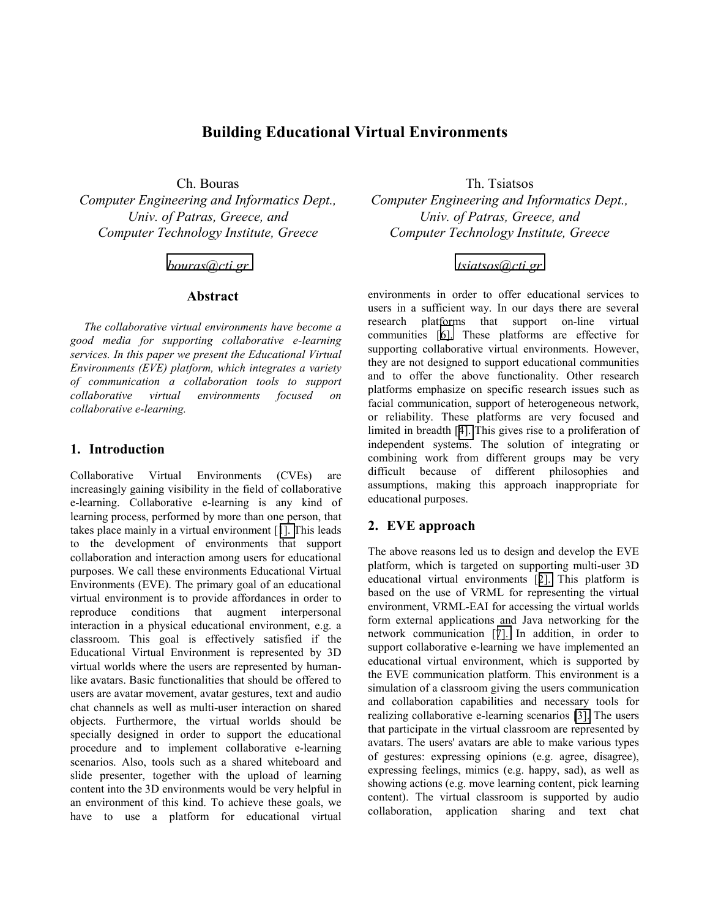# **Building Educational Virtual Environments**

*Computer Engineering and Informatics Dept., Univ. of Patras, Greece, and Computer Technology Institute, Greece* 

#### *[bouras@cti.gr](mailto:bouras@cti.gr)*

#### **Abstract**

*The collaborative virtual environments have become a good media for supporting collaborative e-learning services. In this paper we present the Educational Virtual Environments (EVE) platform, which integrates a variety of communication a collaboration tools to support collaborative virtual environments focused on collaborative e-learning.* 

## **1. Introduction**

Collaborative Virtual Environments (CVEs) are increasingly gaining visibility in the field of collaborative e-learning. Collaborative e-learning is any kind of learning process, performed by more than one person, that takes place mainly in a virtual environment [[1\]. T](#page-1-0)his leads to the development of environments that support collaboration and interaction among users for educational purposes. We call these environments Educational Virtual Environments (EVE). The primary goal of an educational virtual environment is to provide affordances in order to reproduce conditions that augment interpersonal interaction in a physical educational environment, e.g. a classroom. This goal is effectively satisfied if the Educational Virtual Environment is represented by 3D virtual worlds where the users are represented by humanlike avatars. Basic functionalities that should be offered to users are avatar movement, avatar gestures, text and audio chat channels as well as multi-user interaction on shared objects. Furthermore, the virtual worlds should be specially designed in order to support the educational procedure and to implement collaborative e-learning scenarios. Also, tools such as a shared whiteboard and slide presenter, together with the upload of learning content into the 3D environments would be very helpful in an environment of this kind. To achieve these goals, we have to use a platform for educational virtual

Ch. Bouras Th. Tsiatsos *Computer Engineering and Informatics Dept., Univ. of Patras, Greece, and Computer Technology Institute, Greece* 

## *[tsiatsos@cti.gr](mailto:tsiatsos@cti.gr)*

environments in order to offer educational services to users in a sufficient way. In our days there are several research platforms that support on-line virtual communities [[6\].](#page-1-0) These platforms are effective for supporting collaborative virtual environments. However, they are not designed to support educational communities and to offer the above functionality. Other research platforms emphasize on specific research issues such as facial communication, support of heterogeneous network, or reliability. These platforms are very focused and limited in breadth [[4\].](#page-1-0) This gives rise to a proliferation of independent systems. The solution of integrating or combining work from different groups may be very difficult because of different philosophies and assumptions, making this approach inappropriate for educational purposes.

### **2. EVE approach**

The above reasons led us to design and develop the EVE platform, which is targeted on supporting multi-user 3D educational virtual environments [[2\].](#page-1-0) This platform is based on the use of VRML for representing the virtual environment, VRML-EAI for accessing the virtual worlds form external applications and Java networking for the network communication [[7\].](#page-1-0) In addition, in order to support collaborative e-learning we have implemented an educational virtual environment, which is supported by the EVE communication platform. This environment is a simulation of a classroom giving the users communication and collaboration capabilities and necessary tools for realizing collaborative e-learning scenarios [\[3\].](#page-1-0) The users that participate in the virtual classroom are represented by avatars. The users' avatars are able to make various types of gestures: expressing opinions (e.g. agree, disagree), expressing feelings, mimics (e.g. happy, sad), as well as showing actions (e.g. move learning content, pick learning content). The virtual classroom is supported by audio collaboration, application sharing and text chat